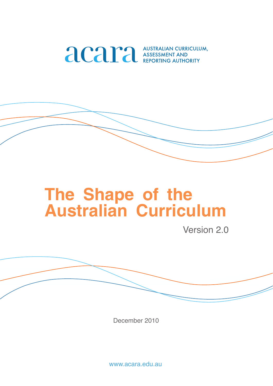

# **The Shape of the Australian Curriculum**

Version 2.0

December 2010

www.acara.edu.au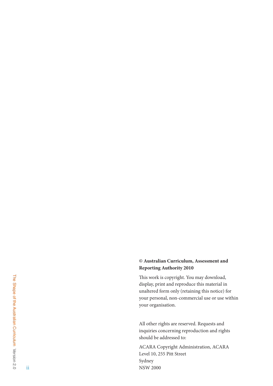#### **© Australian Curriculum, Assessment and Reporting Authority 2010**

This work is copyright. You may download, display, print and reproduce this material in unaltered form only (retaining this notice) for your personal, non-commercial use or use within your organisation.

All other rights are reserved. Requests and inquiries concerning reproduction and rights should be addressed to:

ACARA Copyright Administration, ACARA Level 10, 255 Pitt Street Sydney NSW 2000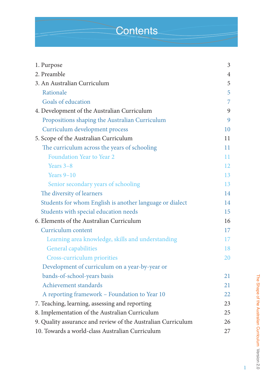# **Contents**

| 1. Purpose                                                   | 3              |  |
|--------------------------------------------------------------|----------------|--|
| 2. Preamble                                                  | $\overline{4}$ |  |
| 3. An Australian Curriculum                                  |                |  |
| Rationale                                                    | 5              |  |
| Goals of education                                           | 7              |  |
| 4. Development of the Australian Curriculum                  | 9              |  |
| Propositions shaping the Australian Curriculum               | 9              |  |
| Curriculum development process                               | 10             |  |
| 5. Scope of the Australian Curriculum                        | 11             |  |
| The curriculum across the years of schooling                 | 11             |  |
| <b>Foundation Year to Year 2</b>                             | 11             |  |
| Years 3-8                                                    | 12             |  |
| Years $9-10$                                                 | 13             |  |
| Senior secondary years of schooling                          | 13             |  |
| The diversity of learners                                    | 14             |  |
| Students for whom English is another language or dialect     | 14             |  |
| Students with special education needs                        | 15             |  |
| 6. Elements of the Australian Curriculum                     | 16             |  |
| Curriculum content                                           | 17             |  |
| Learning area knowledge, skills and understanding            | 17             |  |
| <b>General capabilities</b>                                  | 18             |  |
| Cross-curriculum priorities                                  | 20             |  |
| Development of curriculum on a year-by-year or               |                |  |
| bands-of-school-years basis                                  | 21             |  |
| Achievement standards                                        | 21             |  |
| A reporting framework - Foundation to Year 10                | 22             |  |
| 7. Teaching, learning, assessing and reporting               | 23             |  |
| 8. Implementation of the Australian Curriculum               | 25             |  |
| 9. Quality assurance and review of the Australian Curriculum | 26             |  |
| 10. Towards a world-class Australian Curriculum              | 27             |  |

The Shape of the Australian Curriculum Version 2.0 The Shape of the Australian Curriculum Version 2.0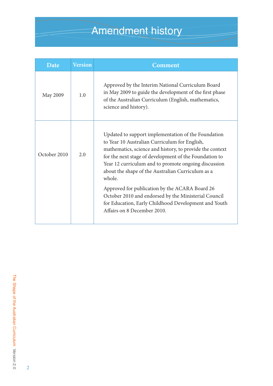# Amendment history

| Date            | <b>Version</b> | <b>Comment</b>                                                                                                                                                                                                                                                                                                                                                                                                                                                                                                                                     |
|-----------------|----------------|----------------------------------------------------------------------------------------------------------------------------------------------------------------------------------------------------------------------------------------------------------------------------------------------------------------------------------------------------------------------------------------------------------------------------------------------------------------------------------------------------------------------------------------------------|
| <b>May 2009</b> | 1.0            | Approved by the Interim National Curriculum Board<br>in May 2009 to guide the development of the first phase<br>of the Australian Curriculum (English, mathematics,<br>science and history).                                                                                                                                                                                                                                                                                                                                                       |
| October 2010    | 2.0            | Updated to support implementation of the Foundation<br>to Year 10 Australian Curriculum for English,<br>mathematics, science and history, to provide the context<br>for the next stage of development of the Foundation to<br>Year 12 curriculum and to promote ongoing discussion<br>about the shape of the Australian Curriculum as a<br>whole.<br>Approved for publication by the ACARA Board 26<br>October 2010 and endorsed by the Ministerial Council<br>for Education, Early Childhood Development and Youth<br>Affairs on 8 December 2010. |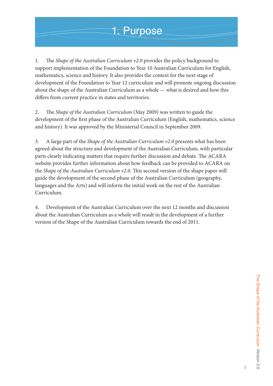# 1. Purpose

1. The *Shape of the Australian Curriculum v2.0* provides the policy background to support implementation of the Foundation to Year 10 Australian Curriculum for English, mathematics, science and history. It also provides the context for the next stage of development of the Foundation to Year 12 curriculum and will promote ongoing discussion about the shape of the Australian Curriculum as a whole — what is desired and how this differs from current practice in states and territories.

2. The *Shape of the Australian Curriculum* (May 2009) was written to guide the development of the first phase of the Australian Curriculum (English, mathematics, science and history). It was approved by the Ministerial Council in September 2009.

3. A large part of the *Shape of the Australian Curriculum v2.0* presents what has been agreed about the structure and development of the Australian Curriculum, with particular parts clearly indicating matters that require further discussion and debate. The ACARA website provides further information about how feedback can be provided to ACARA on the *Shape of the Australian Curriculum v2.0.* This second version of the shape paper will guide the development of the second phase of the Australian Curriculum (geography, languages and the Arts) and will inform the initial work on the rest of the Australian Curriculum.

4. Development of the Australian Curriculum over the next 12 months and discussion about the Australian Curriculum as a whole will result in the development of a further version of the Shape of the Australian Curriculum towards the end of 2011.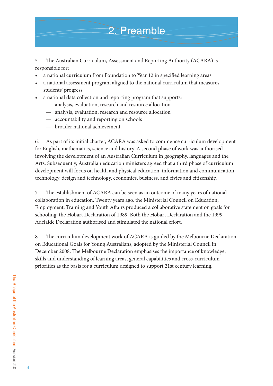# 2. Preamble

5. The Australian Curriculum, Assessment and Reporting Authority (ACARA) is responsible for:

- • a national curriculum from Foundation to Year 12 in specified learning areas
- a national assessment program aligned to the national curriculum that measures students' progress
- a national data collection and reporting program that supports:
	- analysis, evaluation, research and resource allocation
	- analysis, evaluation, research and resource allocation
	- accountability and reporting on schools
	- broader national achievement.

6. As part of its initial charter, ACARA was asked to commence curriculum development for English, mathematics, science and history. A second phase of work was authorised involving the development of an Australian Curriculum in geography, languages and the Arts. Subsequently, Australian education ministers agreed that a third phase of curriculum development will focus on health and physical education, information and communication technology, design and technology, economics, business, and civics and citizenship.

7. The establishment of ACARA can be seen as an outcome of many years of national collaboration in education. Twenty years ago, the Ministerial Council on Education, Employment, Training and Youth Affairs produced a collaborative statement on goals for schooling: the Hobart Declaration of 1989. Both the Hobart Declaration and the 1999 Adelaide Declaration authorised and stimulated the national effort.

8. The curriculum development work of ACARA is guided by the Melbourne Declaration on Educational Goals for Young Australians, adopted by the Ministerial Council in December 2008. The Melbourne Declaration emphasises the importance of knowledge, skills and understanding of learning areas, general capabilities and cross-curriculum priorities as the basis for a curriculum designed to support 21st century learning.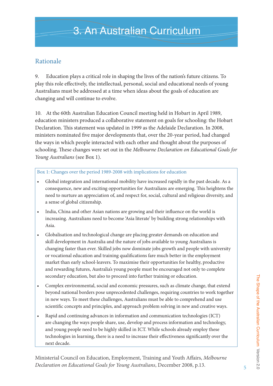### Rationale

9. Education plays a critical role in shaping the lives of the nation's future citizens. To play this role effectively, the intellectual, personal, social and educational needs of young Australians must be addressed at a time when ideas about the goals of education are changing and will continue to evolve.

10. At the 60th Australian Education Council meeting held in Hobart in April 1989, education ministers produced a collaborative statement on goals for schooling: the Hobart Declaration. This statement was updated in 1999 as the Adelaide Declaration. In 2008, ministers nominated five major developments that, over the 20-year period, had changed the ways in which people interacted with each other and thought about the purposes of schooling. These changes were set out in the *Melbourne Declaration on Educational Goals for Young Australians* (see Box 1).

Box 1: Changes over the period 1989-2008 with implications for education

- • Global integration and international mobility have increased rapidly in the past decade. As a consequence, new and exciting opportunities for Australians are emerging. This heightens the need to nurture an appreciation of, and respect for, social, cultural and religious diversity, and a sense of global citizenship.
- India, China and other Asian nations are growing and their influence on the world is increasing. Australians need to become 'Asia literate' by building strong relationships with Asia.
- • Globalisation and technological change are placing greater demands on education and skill development in Australia and the nature of jobs available to young Australians is changing faster than ever. Skilled jobs now dominate jobs growth and people with university or vocational education and training qualifications fare much better in the employment market than early school-leavers. To maximise their opportunities for healthy, productive and rewarding futures, Australia's young people must be encouraged not only to complete secondary education, but also to proceed into further training or education.
- • Complex environmental, social and economic pressures, such as climate change, that extend beyond national borders pose unprecedented challenges, requiring countries to work together in new ways. To meet these challenges, Australians must be able to comprehend and use scientific concepts and principles, and approach problem solving in new and creative ways.
- • Rapid and continuing advances in information and communication technologies (ICT) are changing the ways people share, use, develop and process information and technology, and young people need to be highly skilled in ICT. While schools already employ these technologies in learning, there is a need to increase their effectiveness significantly over the next decade.

Ministerial Council on Education, Employment, Training and Youth Affairs, *Melbourne Declaration on Educational Goals for Young Australians*, December 2008, p.13.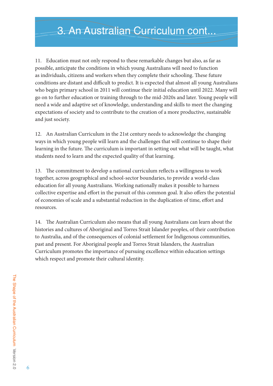11. Education must not only respond to these remarkable changes but also, as far as possible, anticipate the conditions in which young Australians will need to function as individuals, citizens and workers when they complete their schooling. These future conditions are distant and difficult to predict. It is expected that almost all young Australians who begin primary school in 2011 will continue their initial education until 2022. Many will go on to further education or training through to the mid-2020s and later. Young people will need a wide and adaptive set of knowledge, understanding and skills to meet the changing expectations of society and to contribute to the creation of a more productive, sustainable and just society.

12. An Australian Curriculum in the 21st century needs to acknowledge the changing ways in which young people will learn and the challenges that will continue to shape their learning in the future. The curriculum is important in setting out what will be taught, what students need to learn and the expected quality of that learning.

13. The commitment to develop a national curriculum reflects a willingness to work together, across geographical and school-sector boundaries, to provide a world-class education for all young Australians. Working nationally makes it possible to harness collective expertise and effort in the pursuit of this common goal. It also offers the potential of economies of scale and a substantial reduction in the duplication of time, effort and resources.

14. The Australian Curriculum also means that all young Australians can learn about the histories and cultures of Aboriginal and Torres Strait Islander peoples, of their contribution to Australia, and of the consequences of colonial settlement for Indigenous communities, past and present. For Aboriginal people and Torres Strait Islanders, the Australian Curriculum promotes the importance of pursuing excellence within education settings which respect and promote their cultural identity.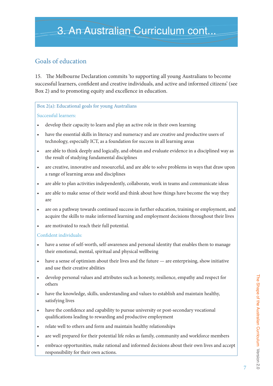### Goals of education

15. The Melbourne Declaration commits 'to supporting all young Australians to become successful learners, confident and creative individuals, and active and informed citizens' (see Box 2) and to promoting equity and excellence in education.

#### Box 2(a): Educational goals for young Australians

#### Successful learners:

- develop their capacity to learn and play an active role in their own learning
- have the essential skills in literacy and numeracy and are creative and productive users of technology, especially ICT, as a foundation for success in all learning areas
- are able to think deeply and logically, and obtain and evaluate evidence in a disciplined way as the result of studying fundamental disciplines
- are creative, innovative and resourceful, and are able to solve problems in ways that draw upon a range of learning areas and disciplines
- are able to plan activities independently, collaborate, work in teams and communicate ideas
- are able to make sense of their world and think about how things have become the way they are
- are on a pathway towards continued success in further education, training or employment, and acquire the skills to make informed learning and employment decisions throughout their lives
- are motivated to reach their full potential.

#### Confident individuals:

- have a sense of self-worth, self-awareness and personal identity that enables them to manage their emotional, mental, spiritual and physical wellbeing
- have a sense of optimism about their lives and the future  $-$  are enterprising, show initiative and use their creative abilities
- develop personal values and attributes such as honesty, resilience, empathy and respect for others
- have the knowledge, skills, understanding and values to establish and maintain healthy, satisfying lives
- have the confidence and capability to pursue university or post-secondary vocational qualifications leading to rewarding and productive employment
- relate well to others and form and maintain healthy relationships
- • are well prepared for their potential life roles as family, community and workforce members
- embrace opportunities, make rational and informed decisions about their own lives and accept responsibility for their own actions.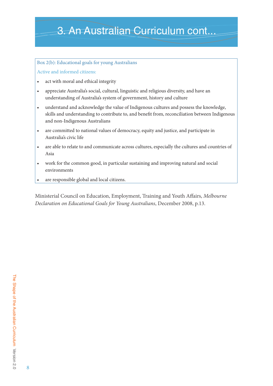# 3. An Australian Curriculum cont...

#### Box 2(b): Educational goals for young Australians

Active and informed citizens:

- • act with moral and ethical integrity
- • appreciate Australia's social, cultural, linguistic and religious diversity, and have an understanding of Australia's system of government, history and culture
- understand and acknowledge the value of Indigenous cultures and possess the knowledge, skills and understanding to contribute to, and benefit from, reconciliation between Indigenous and non-Indigenous Australians
- are committed to national values of democracy, equity and justice, and participate in Australia's civic life
- • are able to relate to and communicate across cultures, especially the cultures and countries of Asia
- • work for the common good, in particular sustaining and improving natural and social environments
- are responsible global and local citizens.

Ministerial Council on Education, Employment, Training and Youth Affairs, *Melbourne Declaration on Educational Goals for Young Australians*, December 2008, p.13.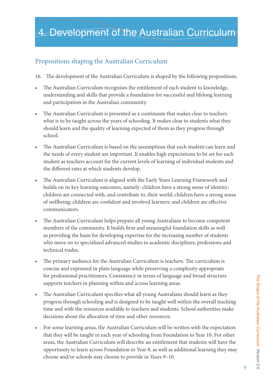## Propositions shaping the Australian Curriculum

16. The development of the Australian Curriculum is shaped by the following propositions.

- The Australian Curriculum recognises the entitlement of each student to knowledge, understanding and skills that provide a foundation for successful and lifelong learning and participation in the Australian community.
- • The Australian Curriculum is presented as a continuum that makes clear to teachers what is to be taught across the years of schooling. It makes clear to students what they should learn and the quality of learning expected of them as they progress through school.
- The Australian Curriculum is based on the assumptions that each student can learn and the needs of every student are important. It enables high expectations to be set for each student as teachers account for the current levels of learning of individual students and the different rates at which students develop.
- The Australian Curriculum is aligned with the Early Years Learning Framework and builds on its key learning outcomes, namely: children have a strong sense of identity; children are connected with, and contribute to, their world; children have a strong sense of wellbeing; children are confident and involved learners; and children are effective communicators.
- The Australian Curriculum helps prepare all young Australians to become competent members of the community. It builds firm and meaningful foundation skills as well as providing the basis for developing expertise for the increasing number of students who move on to specialised advanced studies in academic disciplines, professions and technical trades.
- The primary audience for the Australian Curriculum is teachers. The curriculum is concise and expressed in plain language while preserving a complexity appropriate for professional practitioners. Consistency in terms of language and broad structure supports teachers in planning within and across learning areas.
- The Australian Curriculum specifies what all young Australians should learn as they progress through schooling and is designed to be taught well within the overall teaching time and with the resources available to teachers and students. School authorities make decisions about the allocation of time and other resources.
- For some learning areas, the Australian Curriculum will be written with the expectation that they will be taught in each year of schooling from Foundation to Year 10. For other areas, the Australian Curriculum will describe an entitlement that students will have the opportunity to learn across Foundation to Year 8, as well as additional learning they may choose and/or schools may choose to provide in Years 9–10.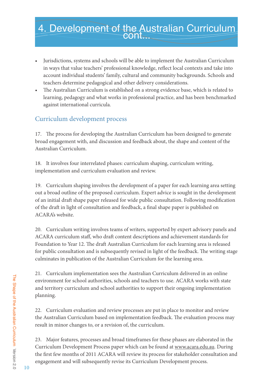- Jurisdictions, systems and schools will be able to implement the Australian Curriculum in ways that value teachers' professional knowledge, reflect local contexts and take into account individual students' family, cultural and community backgrounds. Schools and teachers determine pedagogical and other delivery considerations.
- • The Australian Curriculum is established on a strong evidence base, which is related to learning, pedagogy and what works in professional practice, and has been benchmarked against international curricula.

## Curriculum development process

17. The process for developing the Australian Curriculum has been designed to generate broad engagement with, and discussion and feedback about, the shape and content of the Australian Curriculum.

18. It involves four interrelated phases: curriculum shaping, curriculum writing, implementation and curriculum evaluation and review.

19. Curriculum shaping involves the development of a paper for each learning area setting out a broad outline of the proposed curriculum. Expert advice is sought in the development of an initial draft shape paper released for wide public consultation. Following modification of the draft in light of consultation and feedback, a final shape paper is published on ACARA's website.

20. Curriculum writing involves teams of writers, supported by expert advisory panels and ACARA curriculum staff, who draft content descriptions and achievement standards for Foundation to Year 12. The draft Australian Curriculum for each learning area is released for public consultation and is subsequently revised in light of the feedback. The writing stage culminates in publication of the Australian Curriculum for the learning area.

21. Curriculum implementation sees the Australian Curriculum delivered in an online environment for school authorities, schools and teachers to use. ACARA works with state and territory curriculum and school authorities to support their ongoing implementation planning.

22. Curriculum evaluation and review processes are put in place to monitor and review the Australian Curriculum based on implementation feedback. The evaluation process may result in minor changes to, or a revision of, the curriculum.

23. Major features, processes and broad timeframes for these phases are elaborated in the Curriculum Development Process paper which can be found at www.acara.edu.au. During the first few months of 2011 ACARA will review its process for stakeholder consultation and engagement and will subsequently revise its Curriculum Development process.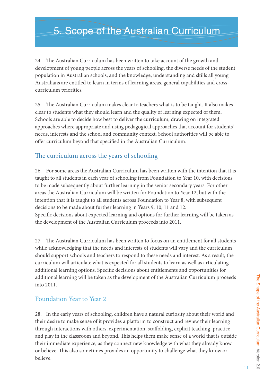24. The Australian Curriculum has been written to take account of the growth and development of young people across the years of schooling, the diverse needs of the student population in Australian schools, and the knowledge, understanding and skills all young Australians are entitled to learn in terms of learning areas, general capabilities and crosscurriculum priorities.

25. The Australian Curriculum makes clear to teachers what is to be taught. It also makes clear to students what they should learn and the quality of learning expected of them. Schools are able to decide how best to deliver the curriculum, drawing on integrated approaches where appropriate and using pedagogical approaches that account for students' needs, interests and the school and community context. School authorities will be able to offer curriculum beyond that specified in the Australian Curriculum.

## The curriculum across the years of schooling

26. For some areas the Australian Curriculum has been written with the intention that it is taught to all students in each year of schooling from Foundation to Year 10, with decisions to be made subsequently about further learning in the senior secondary years. For other areas the Australian Curriculum will be written for Foundation to Year 12, but with the intention that it is taught to all students across Foundation to Year 8, with subsequent decisions to be made about further learning in Years 9, 10, 11 and 12. Specific decisions about expected learning and options for further learning will be taken as the development of the Australian Curriculum proceeds into 2011.

27. The Australian Curriculum has been written to focus on an entitlement for all students while acknowledging that the needs and interests of students will vary and the curriculum should support schools and teachers to respond to these needs and interest. As a result, the curriculum will articulate what is expected for all students to learn as well as articulating additional learning options. Specific decisions about entitlements and opportunities for additional learning will be taken as the development of the Australian Curriculum proceeds into 2011.

### Foundation Year to Year 2

28. In the early years of schooling, children have a natural curiosity about their world and their desire to make sense of it provides a platform to construct and review their learning through interactions with others, experimentation, scaffolding, explicit teaching, practice and play in the classroom and beyond. This helps them make sense of a world that is outside their immediate experience, as they connect new knowledge with what they already know or believe. This also sometimes provides an opportunity to challenge what they know or believe.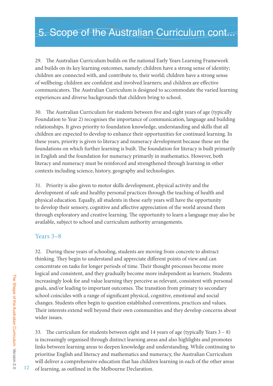# 5. Scope of the Australian Curriculum cont...

29. The Australian Curriculum builds on the national Early Years Learning Framework and builds on its key learning outcomes, namely: children have a strong sense of identity; children are connected with, and contribute to, their world; children have a strong sense of wellbeing; children are confident and involved learners; and children are effective communicators. The Australian Curriculum is designed to accommodate the varied learning experiences and diverse backgrounds that children bring to school.

30. The Australian Curriculum for students between five and eight years of age (typically Foundation to Year 2) recognises the importance of communication, language and building relationships. It gives priority to foundation knowledge, understanding and skills that all children are expected to develop to enhance their opportunities for continued learning. In these years, priority is given to literacy and numeracy development because these are the foundations on which further learning is built. The foundation for literacy is built primarily in English and the foundation for numeracy primarily in mathematics. However, both literacy and numeracy must be reinforced and strengthened through learning in other contexts including science, history, geography and technologies.

31. Priority is also given to motor skills development, physical activity and the development of safe and healthy personal practices through the teaching of health and physical education. Equally, all students in these early years will have the opportunity to develop their sensory, cognitive and affective appreciation of the world around them through exploratory and creative learning. The opportunity to learn a language may also be available, subject to school and curriculum authority arrangements.

### Years 3–8

32. During these years of schooling, students are moving from concrete to abstract thinking. They begin to understand and appreciate different points of view and can concentrate on tasks for longer periods of time. Their thought processes become more logical and consistent, and they gradually become more independent as learners. Students increasingly look for and value learning they perceive as relevant, consistent with personal goals, and/or leading to important outcomes. The transition from primary to secondary school coincides with a range of significant physical, cognitive, emotional and social changes. Students often begin to question established conventions, practices and values. Their interests extend well beyond their own communities and they develop concerns about wider issues.

33. The curriculum for students between eight and 14 years of age (typically Years 3 – 8) is increasingly organised through distinct learning areas and also highlights and promotes links between learning areas to deepen knowledge and understanding. While continuing to prioritise English and literacy and mathematics and numeracy, the Australian Curriculum will deliver a comprehensive education that has children learning in each of the other areas of learning, as outlined in the Melbourne Declaration.

12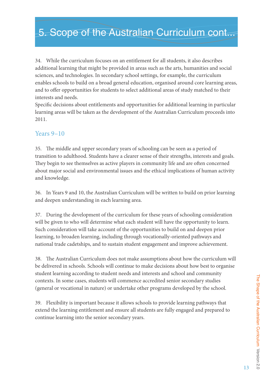# 5. Scope of the Australian Curriculum cont...

34. While the curriculum focuses on an entitlement for all students, it also describes additional learning that might be provided in areas such as the arts, humanities and social sciences, and technologies. In secondary school settings, for example, the curriculum enables schools to build on a broad general education, organised around core learning areas, and to offer opportunities for students to select additional areas of study matched to their interests and needs.

Specific decisions about entitlements and opportunities for additional learning in particular learning areas will be taken as the development of the Australian Curriculum proceeds into 2011.

### Years 9–10

35. The middle and upper secondary years of schooling can be seen as a period of transition to adulthood. Students have a clearer sense of their strengths, interests and goals. They begin to see themselves as active players in community life and are often concerned about major social and environmental issues and the ethical implications of human activity and knowledge.

36. In Years 9 and 10, the Australian Curriculum will be written to build on prior learning and deepen understanding in each learning area.

37. During the development of the curriculum for these years of schooling consideration will be given to who will determine what each student will have the opportunity to learn. Such consideration will take account of the opportunities to build on and deepen prior learning, to broaden learning, including through vocationally-oriented pathways and national trade cadetships, and to sustain student engagement and improve achievement.

38. The Australian Curriculum does not make assumptions about how the curriculum will be delivered in schools. Schools will continue to make decisions about how best to organise student learning according to student needs and interests and school and community contexts. In some cases, students will commence accredited senior secondary studies (general or vocational in nature) or undertake other programs developed by the school.

39. Flexibility is important because it allows schools to provide learning pathways that extend the learning entitlement and ensure all students are fully engaged and prepared to continue learning into the senior secondary years.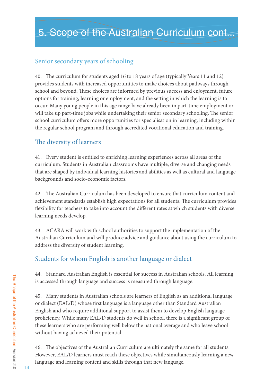### Senior secondary years of schooling

40. The curriculum for students aged 16 to 18 years of age (typically Years 11 and 12) provides students with increased opportunities to make choices about pathways through school and beyond. These choices are informed by previous success and enjoyment, future options for training, learning or employment, and the setting in which the learning is to occur. Many young people in this age range have already been in part-time employment or will take up part-time jobs while undertaking their senior secondary schooling. The senior school curriculum offers more opportunities for specialisation in learning, including within the regular school program and through accredited vocational education and training.

### The diversity of learners

41. Every student is entitled to enriching learning experiences across all areas of the curriculum. Students in Australian classrooms have multiple, diverse and changing needs that are shaped by individual learning histories and abilities as well as cultural and language backgrounds and socio-economic factors.

42. The Australian Curriculum has been developed to ensure that curriculum content and achievement standards establish high expectations for all students. The curriculum provides flexibility for teachers to take into account the different rates at which students with diverse learning needs develop.

43. ACARA will work with school authorities to support the implementation of the Australian Curriculum and will produce advice and guidance about using the curriculum to address the diversity of student learning.

### Students for whom English is another language or dialect

44. Standard Australian English is essential for success in Australian schools. All learning is accessed through language and success is measured through language.

45. Many students in Australian schools are learners of English as an additional language or dialect (EAL/D) whose first language is a language other than Standard Australian English and who require additional support to assist them to develop English language proficiency. While many EAL/D students do well in school, there is a significant group of these learners who are performing well below the national average and who leave school without having achieved their potential.

46. The objectives of the Australian Curriculum are ultimately the same for all students. However, EAL/D learners must reach these objectives while simultaneously learning a new language and learning content and skills through that new language.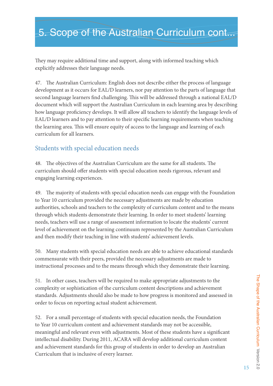They may require additional time and support, along with informed teaching which explicitly addresses their language needs.

47. The Australian Curriculum: English does not describe either the process of language development as it occurs for EAL/D learners, nor pay attention to the parts of language that second language learners find challenging. This will be addressed through a national EAL/D document which will support the Australian Curriculum in each learning area by describing how language proficiency develops. It will allow all teachers to identify the language levels of EAL/D learners and to pay attention to their specific learning requirements when teaching the learning area. This will ensure equity of access to the language and learning of each curriculum for all learners.

## Students with special education needs

48. The objectives of the Australian Curriculum are the same for all students. The curriculum should offer students with special education needs rigorous, relevant and engaging learning experiences.

49. The majority of students with special education needs can engage with the Foundation to Year 10 curriculum provided the necessary adjustments are made by education authorities, schools and teachers to the complexity of curriculum content and to the means through which students demonstrate their learning. In order to meet students' learning needs, teachers will use a range of assessment information to locate the students' current level of achievement on the learning continuum represented by the Australian Curriculum and then modify their teaching in line with students' achievement levels.

50. Many students with special education needs are able to achieve educational standards commensurate with their peers, provided the necessary adjustments are made to instructional processes and to the means through which they demonstrate their learning.

51. In other cases, teachers will be required to make appropriate adjustments to the complexity or sophistication of the curriculum content descriptions and achievement standards. Adjustments should also be made to how progress is monitored and assessed in order to focus on reporting actual student achievement.

52. For a small percentage of students with special education needs, the Foundation to Year 10 curriculum content and achievement standards may not be accessible, meaningful and relevant even with adjustments. Most of these students have a significant intellectual disability. During 2011, ACARA will develop additional curriculum content and achievement standards for this group of students in order to develop an Australian Curriculum that is inclusive of every learner.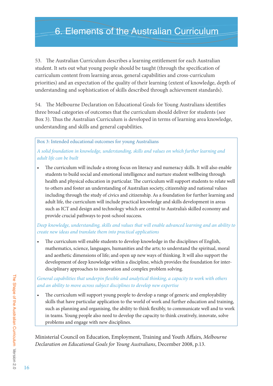53. The Australian Curriculum describes a learning entitlement for each Australian student. It sets out what young people should be taught (through the specification of curriculum content from learning areas, general capabilities and cross-curriculum priorities) and an expectation of the quality of their learning (extent of knowledge, depth of understanding and sophistication of skills described through achievement standards).

54. The Melbourne Declaration on Educational Goals for Young Australians identifies three broad categories of outcomes that the curriculum should deliver for students (see Box 3). Thus the Australian Curriculum is developed in terms of learning area knowledge, understanding and skills and general capabilities.

Box 3: Intended educational outcomes for young Australians

*A solid foundation in knowledge, understanding, skills and values on which further learning and adult life can be built*

• The curriculum will include a strong focus on literacy and numeracy skills. It will also enable students to build social and emotional intelligence and nurture student wellbeing through health and physical education in particular. The curriculum will support students to relate well to others and foster an understanding of Australian society, citizenship and national values including through the study of civics and citizenship. As a foundation for further learning and adult life, the curriculum will include practical knowledge and skills development in areas such as ICT and design and technology which are central to Australia's skilled economy and provide crucial pathways to post-school success.

*Deep knowledge, understanding, skills and values that will enable advanced learning and an ability to create new ideas and translate them into practical applications*

The curriculum will enable students to develop knowledge in the disciplines of English, mathematics, science, languages, humanities and the arts; to understand the spiritual, moral and aesthetic dimensions of life; and open up new ways of thinking. It will also support the development of deep knowledge within a discipline, which provides the foundation for interdisciplinary approaches to innovation and complex problem solving.

*General capabilities that underpin flexible and analytical thinking, a capacity to work with others and an ability to move across subject disciplines to develop new expertise*

• The curriculum will support young people to develop a range of generic and employability skills that have particular application to the world of work and further education and training, such as planning and organising, the ability to think flexibly, to communicate well and to work in teams. Young people also need to develop the capacity to think creatively, innovate, solve problems and engage with new disciplines.

Ministerial Council on Education, Employment, Training and Youth Affairs, *Melbourne Declaration on Educational Goals for Young Australians*, December 2008, p.13.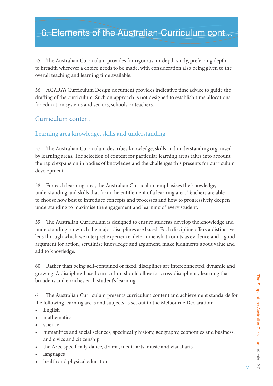# 6. Elements of the Australian Curriculum cont...

55. The Australian Curriculum provides for rigorous, in-depth study, preferring depth to breadth wherever a choice needs to be made, with consideration also being given to the overall teaching and learning time available.

56. ACARA's Curriculum Design document provides indicative time advice to guide the drafting of the curriculum. Such an approach is not designed to establish time allocations for education systems and sectors, schools or teachers.

### Curriculum content

### Learning area knowledge, skills and understanding

57. The Australian Curriculum describes knowledge, skills and understanding organised by learning areas. The selection of content for particular learning areas takes into account the rapid expansion in bodies of knowledge and the challenges this presents for curriculum development.

58. For each learning area, the Australian Curriculum emphasises the knowledge, understanding and skills that form the entitlement of a learning area. Teachers are able to choose how best to introduce concepts and processes and how to progressively deepen understanding to maximise the engagement and learning of every student.

59. The Australian Curriculum is designed to ensure students develop the knowledge and understanding on which the major disciplines are based. Each discipline offers a distinctive lens through which we interpret experience, determine what counts as evidence and a good argument for action, scrutinise knowledge and argument, make judgments about value and add to knowledge.

60. Rather than being self-contained or fixed, disciplines are interconnected, dynamic and growing. A discipline-based curriculum should allow for cross-disciplinary learning that broadens and enriches each student's learning.

61. The Australian Curriculum presents curriculum content and achievement standards for the following learning areas and subjects as set out in the Melbourne Declaration:

- • English
- mathematics
- science
- humanities and social sciences, specifically history, geography, economics and business, and civics and citizenship
- the Arts, specifically dance, drama, media arts, music and visual arts
- languages
- health and physical education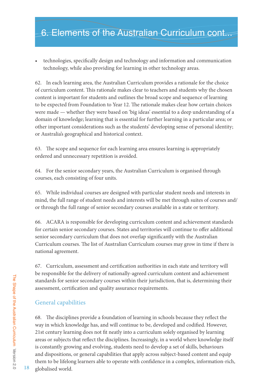# 6. Elements of the Australian Curriculum cont...

technologies, specifically design and technology and information and communication technology, while also providing for learning in other technology areas.

62. In each learning area, the Australian Curriculum provides a rationale for the choice of curriculum content. This rationale makes clear to teachers and students why the chosen content is important for students and outlines the broad scope and sequence of learning to be expected from Foundation to Year 12. The rationale makes clear how certain choices were made — whether they were based on 'big ideas' essential to a deep understanding of a domain of knowledge; learning that is essential for further learning in a particular area; or other important considerations such as the students' developing sense of personal identity; or Australia's geographical and historical context.

63. The scope and sequence for each learning area ensures learning is appropriately ordered and unnecessary repetition is avoided.

64. For the senior secondary years, the Australian Curriculum is organised through courses, each consisting of four units.

65. While individual courses are designed with particular student needs and interests in mind, the full range of student needs and interests will be met through suites of courses and/ or through the full range of senior secondary courses available in a state or territory.

66. ACARA is responsible for developing curriculum content and achievement standards for certain senior secondary courses. States and territories will continue to offer additional senior secondary curriculum that does not overlap significantly with the Australian Curriculum courses. The list of Australian Curriculum courses may grow in time if there is national agreement.

67. Curriculum, assessment and certification authorities in each state and territory will be responsible for the delivery of nationally-agreed curriculum content and achievement standards for senior secondary courses within their jurisdiction, that is, determining their assessment, certification and quality assurance requirements.

### General capabilities

68. The disciplines provide a foundation of learning in schools because they reflect the way in which knowledge has, and will continue to be, developed and codified. However, 21st century learning does not fit neatly into a curriculum solely organised by learning areas or subjects that reflect the disciplines. Increasingly, in a world where knowledge itself is constantly growing and evolving, students need to develop a set of skills, behaviours and dispositions, or general capabilities that apply across subject-based content and equip them to be lifelong learners able to operate with confidence in a complex, information-rich, globalised world.

18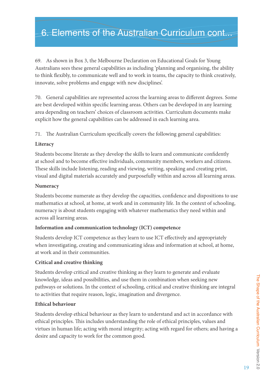69. As shown in Box 3, the Melbourne Declaration on Educational Goals for Young Australians sees these general capabilities as including 'planning and organising, the ability to think flexibly, to communicate well and to work in teams, the capacity to think creatively, innovate, solve problems and engage with new disciplines'.

70. General capabilities are represented across the learning areas to different degrees. Some are best developed within specific learning areas. Others can be developed in any learning area depending on teachers' choices of classroom activities. Curriculum documents make explicit how the general capabilities can be addressed in each learning area.

71. The Australian Curriculum specifically covers the following general capabilities:

#### **Literacy**

Students become literate as they develop the skills to learn and communicate confidently at school and to become effective individuals, community members, workers and citizens. These skills include listening, reading and viewing, writing, speaking and creating print, visual and digital materials accurately and purposefully within and across all learning areas.

#### **Numeracy**

Students become numerate as they develop the capacities, confidence and dispositions to use mathematics at school, at home, at work and in community life. In the context of schooling, numeracy is about students engaging with whatever mathematics they need within and across all learning areas.

#### **Information and communication technology (ICT) competence**

Students develop ICT competence as they learn to use ICT effectively and appropriately when investigating, creating and communicating ideas and information at school, at home, at work and in their communities.

### **Critical and creative thinking**

Students develop critical and creative thinking as they learn to generate and evaluate knowledge, ideas and possibilities, and use them in combination when seeking new pathways or solutions. In the context of schooling, critical and creative thinking are integral to activities that require reason, logic, imagination and divergence.

### **Ethical behaviour**

Students develop ethical behaviour as they learn to understand and act in accordance with ethical principles. This includes understanding the role of ethical principles, values and virtues in human life; acting with moral integrity; acting with regard for others; and having a desire and capacity to work for the common good.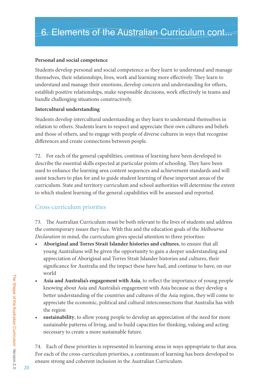#### **Personal and social competence**

Students develop personal and social competence as they learn to understand and manage themselves, their relationships, lives, work and learning more effectively. They learn to understand and manage their emotions, develop concern and understanding for others, establish positive relationships, make responsible decisions, work effectively in teams and handle challenging situations constructively.

#### **Intercultural understanding**

Students develop intercultural understanding as they learn to understand themselves in relation to others. Students learn to respect and appreciate their own cultures and beliefs and those of others, and to engage with people of diverse cultures in ways that recognise differences and create connections between people.

72. For each of the general capabilities, continua of learning have been developed to describe the essential skills expected at particular points of schooling. They have been used to enhance the learning area content sequences and achievement standards and will assist teachers to plan for and to guide student learning of these important areas of the curriculum. State and territory curriculum and school authorities will determine the extent to which student learning of the general capabilities will be assessed and reported.

### Cross-curriculum priorities

73. The Australian Curriculum must be both relevant to the lives of students and address the contemporary issues they face. With this and the education goals of the *Melbourne Declaration* in mind, the curriculum gives special attention to three priorities:

- **• Aboriginal and Torres Strait Islander histories and cultures**, to ensure that all young Australians will be given the opportunity to gain a deeper understanding and appreciation of Aboriginal and Torres Strait Islander histories and cultures, their significance for Australia and the impact these have had, and continue to have, on our world
- **• Asia and Australia's engagement with Asia**, to reflect the importance of young people knowing about Asia and Australia's engagement with Asia because as they develop a better understanding of the countries and cultures of the Asia region, they will come to appreciate the economic, political and cultural interconnections that Australia has with the region
- **sustainability**, to allow young people to develop an appreciation of the need for more sustainable patterns of living, and to build capacities for thinking, valuing and acting necessary to create a more sustainable future.

74. Each of these priorities is represented in learning areas in ways appropriate to that area. For each of the cross-curriculum priorities, a continuum of learning has been developed to ensure strong and coherent inclusion in the Australian Curriculum.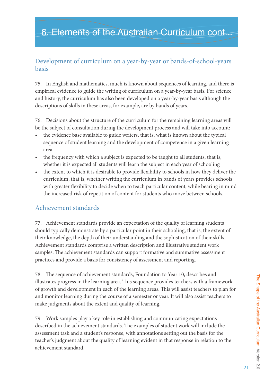# 6. Elements of the Australian Curriculum cont...

### Development of curriculum on a year-by-year or bands-of-school-years basis

75. In English and mathematics, much is known about sequences of learning, and there is empirical evidence to guide the writing of curriculum on a year-by-year basis. For science and history, the curriculum has also been developed on a year-by-year basis although the descriptions of skills in these areas, for example, are by bands of years.

76. Decisions about the structure of the curriculum for the remaining learning areas will be the subject of consultation during the development process and will take into account:

- the evidence base available to guide writers, that is, what is known about the typical sequence of student learning and the development of competence in a given learning area
- the frequency with which a subject is expected to be taught to all students, that is, whether it is expected all students will learn the subject in each year of schooling
- the extent to which it is desirable to provide flexibility to schools in how they deliver the curriculum, that is, whether writing the curriculum in bands of years provides schools with greater flexibility to decide when to teach particular content, while bearing in mind the increased risk of repetition of content for students who move between schools.

### Achievement standards

77. Achievement standards provide an expectation of the quality of learning students should typically demonstrate by a particular point in their schooling, that is, the extent of their knowledge, the depth of their understanding and the sophistication of their skills. Achievement standards comprise a written description and illustrative student work samples. The achievement standards can support formative and summative assessment practices and provide a basis for consistency of assessment and reporting.

78. The sequence of achievement standards, Foundation to Year 10, describes and illustrates progress in the learning area. This sequence provides teachers with a framework of growth and development in each of the learning areas. This will assist teachers to plan for and monitor learning during the course of a semester or year. It will also assist teachers to make judgments about the extent and quality of learning.

79. Work samples play a key role in establishing and communicating expectations described in the achievement standards. The examples of student work will include the assessment task and a student's response, with annotations setting out the basis for the teacher's judgment about the quality of learning evident in that response in relation to the achievement standard.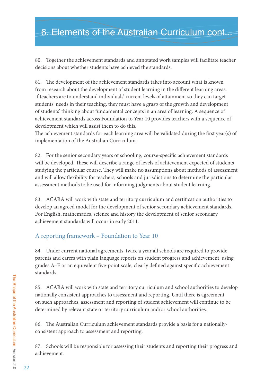# 6. Elements of the Australian Curriculum cont...

80. Together the achievement standards and annotated work samples will facilitate teacher decisions about whether students have achieved the standards.

81. The development of the achievement standards takes into account what is known from research about the development of student learning in the different learning areas. If teachers are to understand individuals' current levels of attainment so they can target students' needs in their teaching, they must have a grasp of the growth and development of students' thinking about fundamental concepts in an area of learning. A sequence of achievement standards across Foundation to Year 10 provides teachers with a sequence of development which will assist them to do this.

The achievement standards for each learning area will be validated during the first year(s) of implementation of the Australian Curriculum.

82. For the senior secondary years of schooling, course-specific achievement standards will be developed. These will describe a range of levels of achievement expected of students studying the particular course. They will make no assumptions about methods of assessment and will allow flexibility for teachers, schools and jurisdictions to determine the particular assessment methods to be used for informing judgments about student learning.

83. ACARA will work with state and territory curriculum and certification authorities to develop an agreed model for the development of senior secondary achievement standards. For English, mathematics, science and history the development of senior secondary achievement standards will occur in early 2011.

### A reporting framework – Foundation to Year 10

84. Under current national agreements, twice a year all schools are required to provide parents and carers with plain language reports on student progress and achievement, using grades A–E or an equivalent five-point scale, clearly defined against specific achievement standards.

85. ACARA will work with state and territory curriculum and school authorities to develop nationally consistent approaches to assessment and reporting. Until there is agreement on such approaches, assessment and reporting of student achievement will continue to be determined by relevant state or territory curriculum and/or school authorities.

86. The Australian Curriculum achievement standards provide a basis for a nationallyconsistent approach to assessment and reporting.

87. Schools will be responsible for assessing their students and reporting their progress and achievement.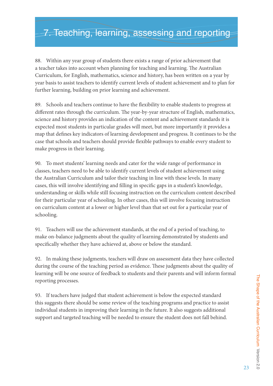88. Within any year group of students there exists a range of prior achievement that a teacher takes into account when planning for teaching and learning. The Australian Curriculum, for English, mathematics, science and history, has been written on a year by year basis to assist teachers to identify current levels of student achievement and to plan for further learning, building on prior learning and achievement.

89. Schools and teachers continue to have the flexibility to enable students to progress at different rates through the curriculum. The year-by-year structure of English, mathematics, science and history provides an indication of the content and achievement standards it is expected most students in particular grades will meet, but more importantly it provides a map that defines key indicators of learning development and progress. It continues to be the case that schools and teachers should provide flexible pathways to enable every student to make progress in their learning.

90. To meet students' learning needs and cater for the wide range of performance in classes, teachers need to be able to identify current levels of student achievement using the Australian Curriculum and tailor their teaching in line with these levels. In many cases, this will involve identifying and filling in specific gaps in a student's knowledge, understanding or skills while still focusing instruction on the curriculum content described for their particular year of schooling. In other cases, this will involve focusing instruction on curriculum content at a lower or higher level than that set out for a particular year of schooling.

91. Teachers will use the achievement standards, at the end of a period of teaching, to make on-balance judgments about the quality of learning demonstrated by students and specifically whether they have achieved at, above or below the standard.

92. In making these judgments, teachers will draw on assessment data they have collected during the course of the teaching period as evidence. These judgments about the quality of learning will be one source of feedback to students and their parents and will inform formal reporting processes.

93. If teachers have judged that student achievement is below the expected standard this suggests there should be some review of the teaching programs and practice to assist individual students in improving their learning in the future. It also suggests additional support and targeted teaching will be needed to ensure the student does not fall behind.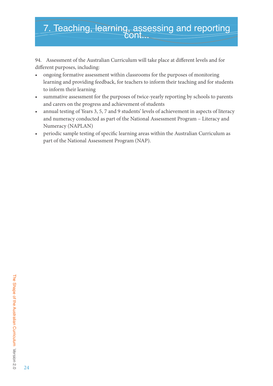94. Assessment of the Australian Curriculum will take place at different levels and for different purposes, including:

- ongoing formative assessment within classrooms for the purposes of monitoring learning and providing feedback, for teachers to inform their teaching and for students to inform their learning
- • summative assessment for the purposes of twice-yearly reporting by schools to parents and carers on the progress and achievement of students
- annual testing of Years 3, 5, 7 and 9 students' levels of achievement in aspects of literacy and numeracy conducted as part of the National Assessment Program – Literacy and Numeracy (NAPLAN)
- • periodic sample testing of specific learning areas within the Australian Curriculum as part of the National Assessment Program (NAP).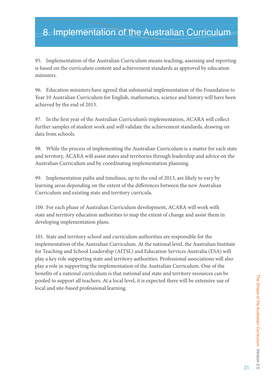# 8. Implementation of the Australian Curriculum

95. Implementation of the Australian Curriculum means teaching, assessing and reporting is based on the curriculum content and achievement standards as approved by education ministers.

96. Education ministers have agreed that substantial implementation of the Foundation to Year 10 Australian Curriculum for English, mathematics, science and history will have been achieved by the end of 2013.

97. In the first year of the Australian Curriculum's implementation, ACARA will collect further samples of student work and will validate the achievement standards, drawing on data from schools.

98. While the process of implementing the Australian Curriculum is a matter for each state and territory, ACARA will assist states and territories through leadership and advice on the Australian Curriculum and by coordinating implementation planning.

99. Implementation paths and timelines, up to the end of 2013, are likely to vary by learning areas depending on the extent of the differences between the new Australian Curriculum and existing state and territory curricula.

100. For each phase of Australian Curriculum development, ACARA will work with state and territory education authorities to map the extent of change and assist them in developing implementation plans.

101. State and territory school and curriculum authorities are responsible for the implementation of the Australian Curriculum. At the national level, the Australian Institute for Teaching and School Leadership (AITSL) and Education Services Australia (ESA) will play a key role supporting state and territory authorities. Professional associations will also play a role in supporting the implementation of the Australian Curriculum. One of the benefits of a national curriculum is that national and state and territory resources can be pooled to support all teachers. At a local level, it is expected there will be extensive use of local and site-based professional learning.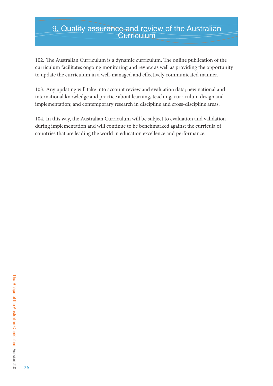# 9. Quality assurance and review of the Australian Curriculum

102. The Australian Curriculum is a dynamic curriculum. The online publication of the curriculum facilitates ongoing monitoring and review as well as providing the opportunity to update the curriculum in a well-managed and effectively communicated manner.

103. Any updating will take into account review and evaluation data; new national and international knowledge and practice about learning, teaching, curriculum design and implementation; and contemporary research in discipline and cross-discipline areas.

104. In this way, the Australian Curriculum will be subject to evaluation and validation during implementation and will continue to be benchmarked against the curricula of countries that are leading the world in education excellence and performance.